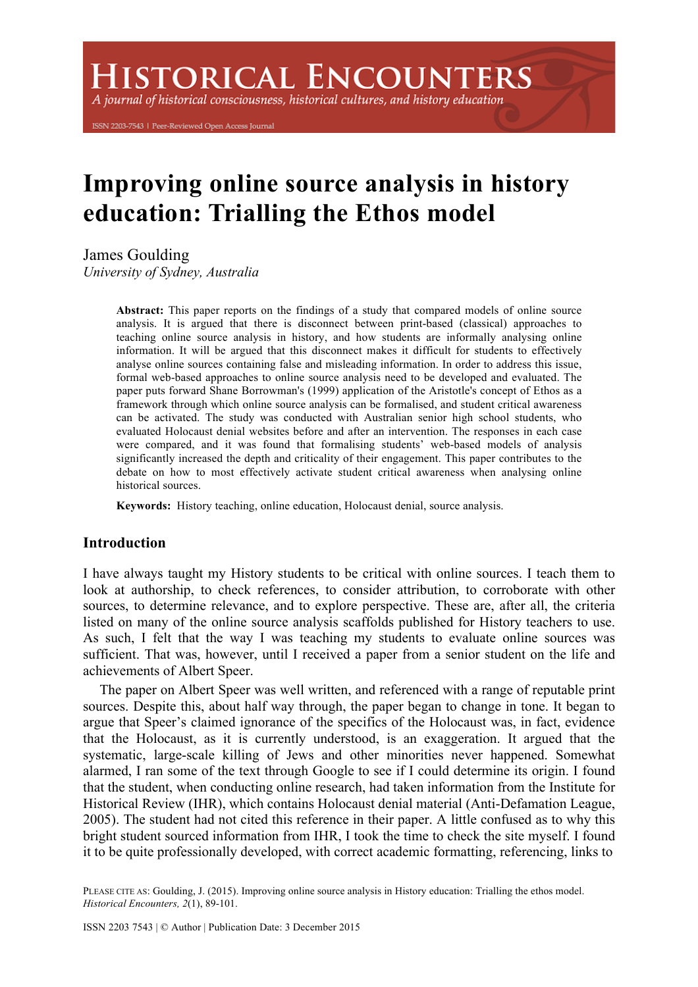**HISTORICAL ENCOUNTERS** 

A journal of historical consciousness, historical cultures, and history education

ISSN 2203-7543 | Peer-Reviewed Open Access Journal

# **Improving online source analysis in history education: Trialling the Ethos model**

James Goulding

*University of Sydney, Australia*

**Abstract:** This paper reports on the findings of a study that compared models of online source analysis. It is argued that there is disconnect between print-based (classical) approaches to teaching online source analysis in history, and how students are informally analysing online information. It will be argued that this disconnect makes it difficult for students to effectively analyse online sources containing false and misleading information. In order to address this issue, formal web-based approaches to online source analysis need to be developed and evaluated. The paper puts forward Shane Borrowman's (1999) application of the Aristotle's concept of Ethos as a framework through which online source analysis can be formalised, and student critical awareness can be activated. The study was conducted with Australian senior high school students, who evaluated Holocaust denial websites before and after an intervention. The responses in each case were compared, and it was found that formalising students' web-based models of analysis significantly increased the depth and criticality of their engagement. This paper contributes to the debate on how to most effectively activate student critical awareness when analysing online historical sources.

**Keywords:** History teaching, online education, Holocaust denial, source analysis.

## **Introduction**

I have always taught my History students to be critical with online sources. I teach them to look at authorship, to check references, to consider attribution, to corroborate with other sources, to determine relevance, and to explore perspective. These are, after all, the criteria listed on many of the online source analysis scaffolds published for History teachers to use. As such, I felt that the way I was teaching my students to evaluate online sources was sufficient. That was, however, until I received a paper from a senior student on the life and achievements of Albert Speer.

The paper on Albert Speer was well written, and referenced with a range of reputable print sources. Despite this, about half way through, the paper began to change in tone. It began to argue that Speer's claimed ignorance of the specifics of the Holocaust was, in fact, evidence that the Holocaust, as it is currently understood, is an exaggeration. It argued that the systematic, large-scale killing of Jews and other minorities never happened. Somewhat alarmed, I ran some of the text through Google to see if I could determine its origin. I found that the student, when conducting online research, had taken information from the Institute for Historical Review (IHR), which contains Holocaust denial material (Anti-Defamation League, 2005). The student had not cited this reference in their paper. A little confused as to why this bright student sourced information from IHR, I took the time to check the site myself. I found it to be quite professionally developed, with correct academic formatting, referencing, links to

PLEASE CITE AS: Goulding, J. (2015). Improving online source analysis in History education: Trialling the ethos model. *Historical Encounters, 2*(1), 89-101.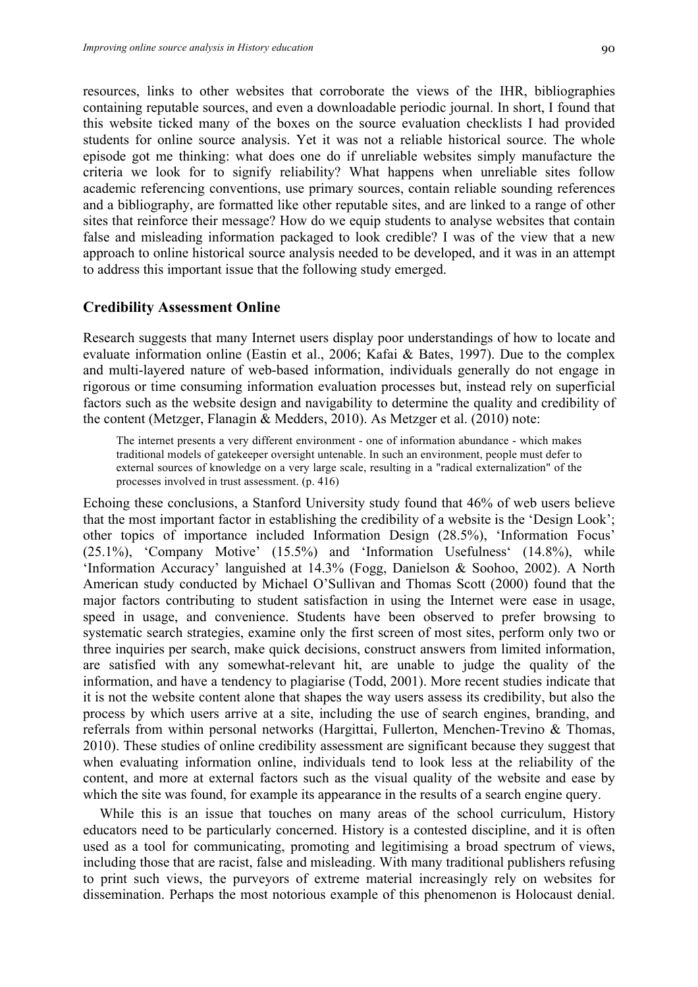resources, links to other websites that corroborate the views of the IHR, bibliographies containing reputable sources, and even a downloadable periodic journal. In short, I found that this website ticked many of the boxes on the source evaluation checklists I had provided students for online source analysis. Yet it was not a reliable historical source. The whole episode got me thinking: what does one do if unreliable websites simply manufacture the criteria we look for to signify reliability? What happens when unreliable sites follow academic referencing conventions, use primary sources, contain reliable sounding references and a bibliography, are formatted like other reputable sites, and are linked to a range of other sites that reinforce their message? How do we equip students to analyse websites that contain false and misleading information packaged to look credible? I was of the view that a new approach to online historical source analysis needed to be developed, and it was in an attempt to address this important issue that the following study emerged.

#### **Credibility Assessment Online**

Research suggests that many Internet users display poor understandings of how to locate and evaluate information online (Eastin et al., 2006; Kafai & Bates, 1997). Due to the complex and multi-layered nature of web-based information, individuals generally do not engage in rigorous or time consuming information evaluation processes but, instead rely on superficial factors such as the website design and navigability to determine the quality and credibility of the content (Metzger, Flanagin & Medders, 2010). As Metzger et al. (2010) note:

The internet presents a very different environment - one of information abundance - which makes traditional models of gatekeeper oversight untenable. In such an environment, people must defer to external sources of knowledge on a very large scale, resulting in a "radical externalization" of the processes involved in trust assessment. (p. 416)

Echoing these conclusions, a Stanford University study found that 46% of web users believe that the most important factor in establishing the credibility of a website is the 'Design Look'; other topics of importance included Information Design (28.5%), 'Information Focus' (25.1%), 'Company Motive' (15.5%) and 'Information Usefulness' (14.8%), while 'Information Accuracy' languished at 14.3% (Fogg, Danielson & Soohoo, 2002). A North American study conducted by Michael O'Sullivan and Thomas Scott (2000) found that the major factors contributing to student satisfaction in using the Internet were ease in usage, speed in usage, and convenience. Students have been observed to prefer browsing to systematic search strategies, examine only the first screen of most sites, perform only two or three inquiries per search, make quick decisions, construct answers from limited information, are satisfied with any somewhat-relevant hit, are unable to judge the quality of the information, and have a tendency to plagiarise (Todd, 2001). More recent studies indicate that it is not the website content alone that shapes the way users assess its credibility, but also the process by which users arrive at a site, including the use of search engines, branding, and referrals from within personal networks (Hargittai, Fullerton, Menchen-Trevino & Thomas, 2010). These studies of online credibility assessment are significant because they suggest that when evaluating information online, individuals tend to look less at the reliability of the content, and more at external factors such as the visual quality of the website and ease by which the site was found, for example its appearance in the results of a search engine query.

While this is an issue that touches on many areas of the school curriculum, History educators need to be particularly concerned. History is a contested discipline, and it is often used as a tool for communicating, promoting and legitimising a broad spectrum of views, including those that are racist, false and misleading. With many traditional publishers refusing to print such views, the purveyors of extreme material increasingly rely on websites for dissemination. Perhaps the most notorious example of this phenomenon is Holocaust denial.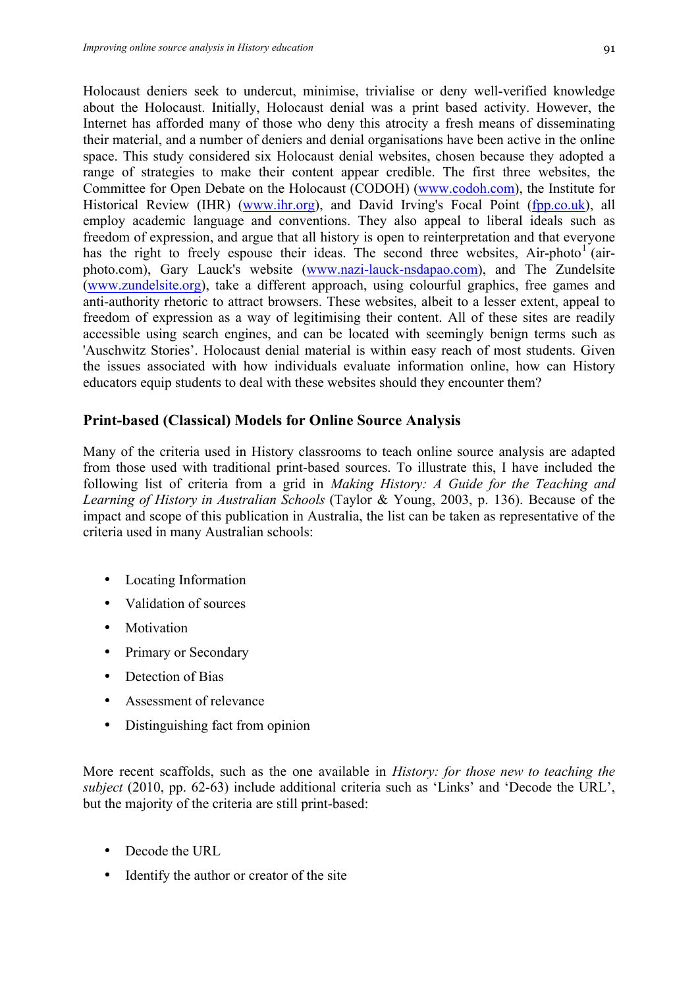Holocaust deniers seek to undercut, minimise, trivialise or deny well-verified knowledge about the Holocaust. Initially, Holocaust denial was a print based activity. However, the Internet has afforded many of those who deny this atrocity a fresh means of disseminating their material, and a number of deniers and denial organisations have been active in the online space. This study considered six Holocaust denial websites, chosen because they adopted a range of strategies to make their content appear credible. The first three websites, the Committee for Open Debate on the Holocaust (CODOH) (www.codoh.com), the Institute for Historical Review (IHR) (www.ihr.org), and David Irving's Focal Point (fpp.co.uk), all employ academic language and conventions. They also appeal to liberal ideals such as freedom of expression, and argue that all history is open to reinterpretation and that everyone has the right to freely espouse their ideas. The second three websites,  $Air-photo<sup>1</sup>$  (airphoto.com), Gary Lauck's website (www.nazi-lauck-nsdapao.com), and The Zundelsite (www.zundelsite.org), take a different approach, using colourful graphics, free games and anti-authority rhetoric to attract browsers. These websites, albeit to a lesser extent, appeal to freedom of expression as a way of legitimising their content. All of these sites are readily accessible using search engines, and can be located with seemingly benign terms such as 'Auschwitz Stories'. Holocaust denial material is within easy reach of most students. Given the issues associated with how individuals evaluate information online, how can History educators equip students to deal with these websites should they encounter them?

# **Print-based (Classical) Models for Online Source Analysis**

Many of the criteria used in History classrooms to teach online source analysis are adapted from those used with traditional print-based sources. To illustrate this, I have included the following list of criteria from a grid in *Making History: A Guide for the Teaching and Learning of History in Australian Schools* (Taylor & Young, 2003, p. 136). Because of the impact and scope of this publication in Australia, the list can be taken as representative of the criteria used in many Australian schools:

- Locating Information
- Validation of sources
- Motivation
- Primary or Secondary
- Detection of Bias
- Assessment of relevance
- Distinguishing fact from opinion

More recent scaffolds, such as the one available in *History: for those new to teaching the subject* (2010, pp. 62-63) include additional criteria such as 'Links' and 'Decode the URL', but the majority of the criteria are still print-based:

- Decode the URL
- Identify the author or creator of the site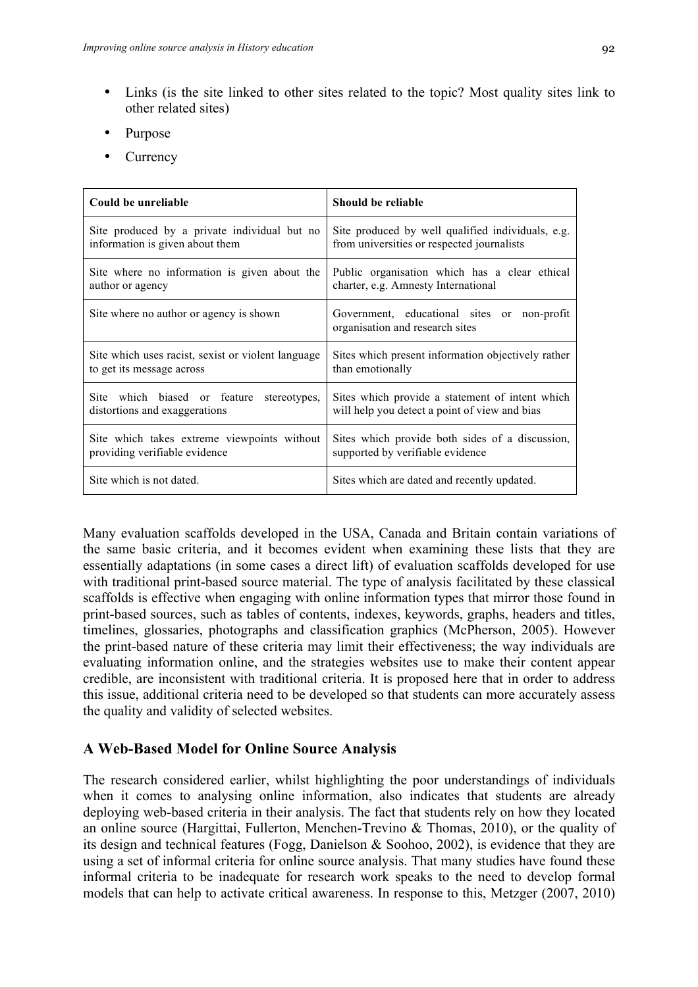- Links (is the site linked to other sites related to the topic? Most quality sites link to other related sites)
- Purpose
- **Currency**

| Could be unreliable                                | Should be reliable                                                             |
|----------------------------------------------------|--------------------------------------------------------------------------------|
| Site produced by a private individual but no       | Site produced by well qualified individuals, e.g.                              |
| information is given about them                    | from universities or respected journalists                                     |
| Site where no information is given about the       | Public organisation which has a clear ethical                                  |
| author or agency                                   | charter, e.g. Amnesty International                                            |
| Site where no author or agency is shown            | Government, educational sites or non-profit<br>organisation and research sites |
| Site which uses racist, sexist or violent language | Sites which present information objectively rather                             |
| to get its message across                          | than emotionally                                                               |
| Site which biased or feature stereotypes,          | Sites which provide a statement of intent which                                |
| distortions and exaggerations                      | will help you detect a point of view and bias                                  |
| Site which takes extreme viewpoints without        | Sites which provide both sides of a discussion,                                |
| providing verifiable evidence                      | supported by verifiable evidence                                               |
| Site which is not dated.                           | Sites which are dated and recently updated.                                    |

Many evaluation scaffolds developed in the USA, Canada and Britain contain variations of the same basic criteria, and it becomes evident when examining these lists that they are essentially adaptations (in some cases a direct lift) of evaluation scaffolds developed for use with traditional print-based source material. The type of analysis facilitated by these classical scaffolds is effective when engaging with online information types that mirror those found in print-based sources, such as tables of contents, indexes, keywords, graphs, headers and titles, timelines, glossaries, photographs and classification graphics (McPherson, 2005). However the print-based nature of these criteria may limit their effectiveness; the way individuals are evaluating information online, and the strategies websites use to make their content appear credible, are inconsistent with traditional criteria. It is proposed here that in order to address this issue, additional criteria need to be developed so that students can more accurately assess the quality and validity of selected websites.

# **A Web-Based Model for Online Source Analysis**

The research considered earlier, whilst highlighting the poor understandings of individuals when it comes to analysing online information, also indicates that students are already deploying web-based criteria in their analysis. The fact that students rely on how they located an online source (Hargittai, Fullerton, Menchen-Trevino & Thomas, 2010), or the quality of its design and technical features (Fogg, Danielson & Soohoo, 2002), is evidence that they are using a set of informal criteria for online source analysis. That many studies have found these informal criteria to be inadequate for research work speaks to the need to develop formal models that can help to activate critical awareness. In response to this, Metzger (2007, 2010)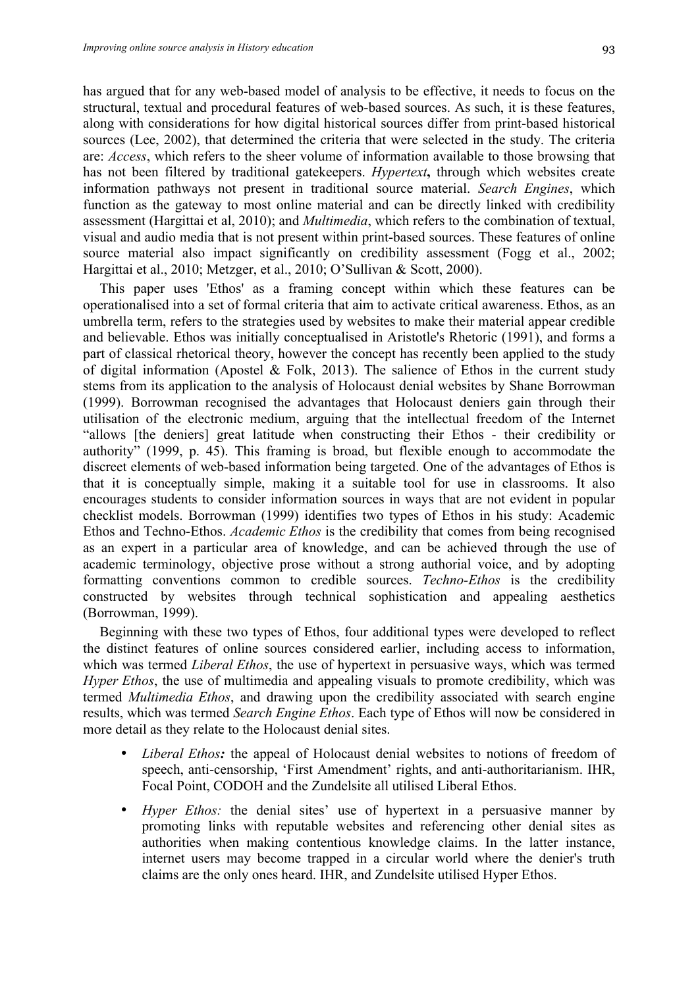has argued that for any web-based model of analysis to be effective, it needs to focus on the structural, textual and procedural features of web-based sources. As such, it is these features, along with considerations for how digital historical sources differ from print-based historical sources (Lee, 2002), that determined the criteria that were selected in the study. The criteria are: *Access*, which refers to the sheer volume of information available to those browsing that has not been filtered by traditional gatekeepers. *Hypertext***,** through which websites create information pathways not present in traditional source material. *Search Engines*, which function as the gateway to most online material and can be directly linked with credibility assessment (Hargittai et al, 2010); and *Multimedia*, which refers to the combination of textual, visual and audio media that is not present within print-based sources. These features of online source material also impact significantly on credibility assessment (Fogg et al., 2002; Hargittai et al., 2010; Metzger, et al., 2010; O'Sullivan & Scott, 2000).

This paper uses 'Ethos' as a framing concept within which these features can be operationalised into a set of formal criteria that aim to activate critical awareness. Ethos, as an umbrella term, refers to the strategies used by websites to make their material appear credible and believable. Ethos was initially conceptualised in Aristotle's Rhetoric (1991), and forms a part of classical rhetorical theory, however the concept has recently been applied to the study of digital information (Apostel  $\&$  Folk, 2013). The salience of Ethos in the current study stems from its application to the analysis of Holocaust denial websites by Shane Borrowman (1999). Borrowman recognised the advantages that Holocaust deniers gain through their utilisation of the electronic medium, arguing that the intellectual freedom of the Internet "allows [the deniers] great latitude when constructing their Ethos - their credibility or authority" (1999, p. 45). This framing is broad, but flexible enough to accommodate the discreet elements of web-based information being targeted. One of the advantages of Ethos is that it is conceptually simple, making it a suitable tool for use in classrooms. It also encourages students to consider information sources in ways that are not evident in popular checklist models. Borrowman (1999) identifies two types of Ethos in his study: Academic Ethos and Techno-Ethos. *Academic Ethos* is the credibility that comes from being recognised as an expert in a particular area of knowledge, and can be achieved through the use of academic terminology, objective prose without a strong authorial voice, and by adopting formatting conventions common to credible sources. *Techno-Ethos* is the credibility constructed by websites through technical sophistication and appealing aesthetics (Borrowman, 1999).

Beginning with these two types of Ethos, four additional types were developed to reflect the distinct features of online sources considered earlier, including access to information, which was termed *Liberal Ethos*, the use of hypertext in persuasive ways, which was termed *Hyper Ethos*, the use of multimedia and appealing visuals to promote credibility, which was termed *Multimedia Ethos*, and drawing upon the credibility associated with search engine results, which was termed *Search Engine Ethos*. Each type of Ethos will now be considered in more detail as they relate to the Holocaust denial sites.

- *Liberal Ethos*: the appeal of Holocaust denial websites to notions of freedom of speech, anti-censorship, 'First Amendment' rights, and anti-authoritarianism. IHR, Focal Point, CODOH and the Zundelsite all utilised Liberal Ethos.
- Hyper Ethos: the denial sites' use of hypertext in a persuasive manner by promoting links with reputable websites and referencing other denial sites as authorities when making contentious knowledge claims. In the latter instance, internet users may become trapped in a circular world where the denier's truth claims are the only ones heard. IHR, and Zundelsite utilised Hyper Ethos.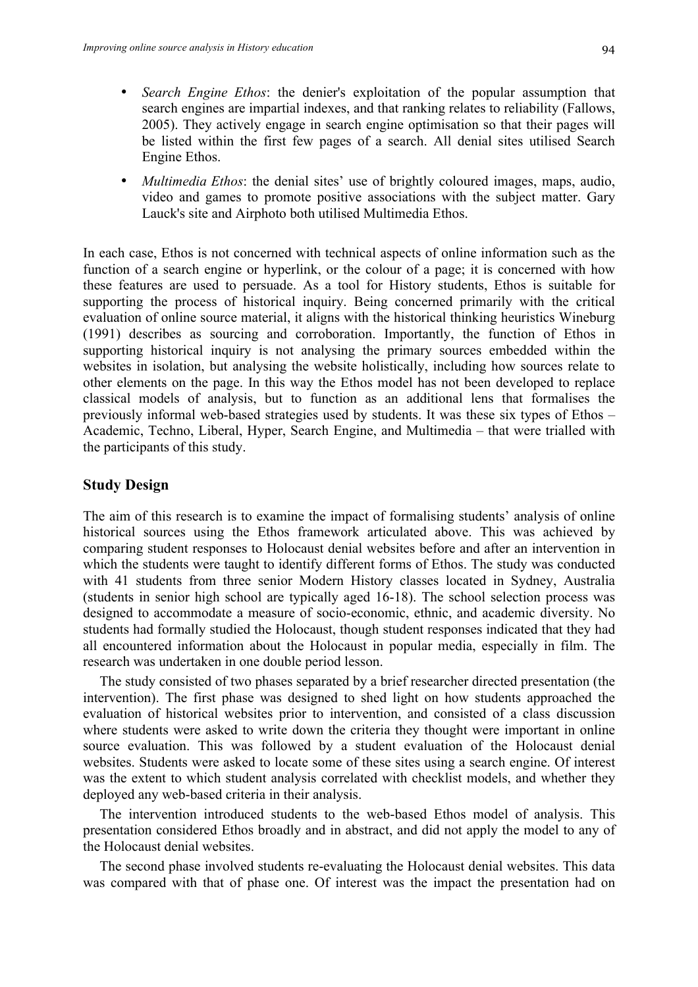- *Search Engine Ethos*: the denier's exploitation of the popular assumption that search engines are impartial indexes, and that ranking relates to reliability (Fallows, 2005). They actively engage in search engine optimisation so that their pages will be listed within the first few pages of a search. All denial sites utilised Search Engine Ethos.
- *Multimedia Ethos*: the denial sites' use of brightly coloured images, maps, audio, video and games to promote positive associations with the subject matter. Gary Lauck's site and Airphoto both utilised Multimedia Ethos.

In each case, Ethos is not concerned with technical aspects of online information such as the function of a search engine or hyperlink, or the colour of a page; it is concerned with how these features are used to persuade. As a tool for History students, Ethos is suitable for supporting the process of historical inquiry. Being concerned primarily with the critical evaluation of online source material, it aligns with the historical thinking heuristics Wineburg (1991) describes as sourcing and corroboration. Importantly, the function of Ethos in supporting historical inquiry is not analysing the primary sources embedded within the websites in isolation, but analysing the website holistically, including how sources relate to other elements on the page. In this way the Ethos model has not been developed to replace classical models of analysis, but to function as an additional lens that formalises the previously informal web-based strategies used by students. It was these six types of Ethos – Academic, Techno, Liberal, Hyper, Search Engine, and Multimedia – that were trialled with the participants of this study.

### **Study Design**

The aim of this research is to examine the impact of formalising students' analysis of online historical sources using the Ethos framework articulated above. This was achieved by comparing student responses to Holocaust denial websites before and after an intervention in which the students were taught to identify different forms of Ethos. The study was conducted with 41 students from three senior Modern History classes located in Sydney, Australia (students in senior high school are typically aged 16-18). The school selection process was designed to accommodate a measure of socio-economic, ethnic, and academic diversity. No students had formally studied the Holocaust, though student responses indicated that they had all encountered information about the Holocaust in popular media, especially in film. The research was undertaken in one double period lesson.

The study consisted of two phases separated by a brief researcher directed presentation (the intervention). The first phase was designed to shed light on how students approached the evaluation of historical websites prior to intervention, and consisted of a class discussion where students were asked to write down the criteria they thought were important in online source evaluation. This was followed by a student evaluation of the Holocaust denial websites. Students were asked to locate some of these sites using a search engine. Of interest was the extent to which student analysis correlated with checklist models, and whether they deployed any web-based criteria in their analysis.

The intervention introduced students to the web-based Ethos model of analysis. This presentation considered Ethos broadly and in abstract, and did not apply the model to any of the Holocaust denial websites.

The second phase involved students re-evaluating the Holocaust denial websites. This data was compared with that of phase one. Of interest was the impact the presentation had on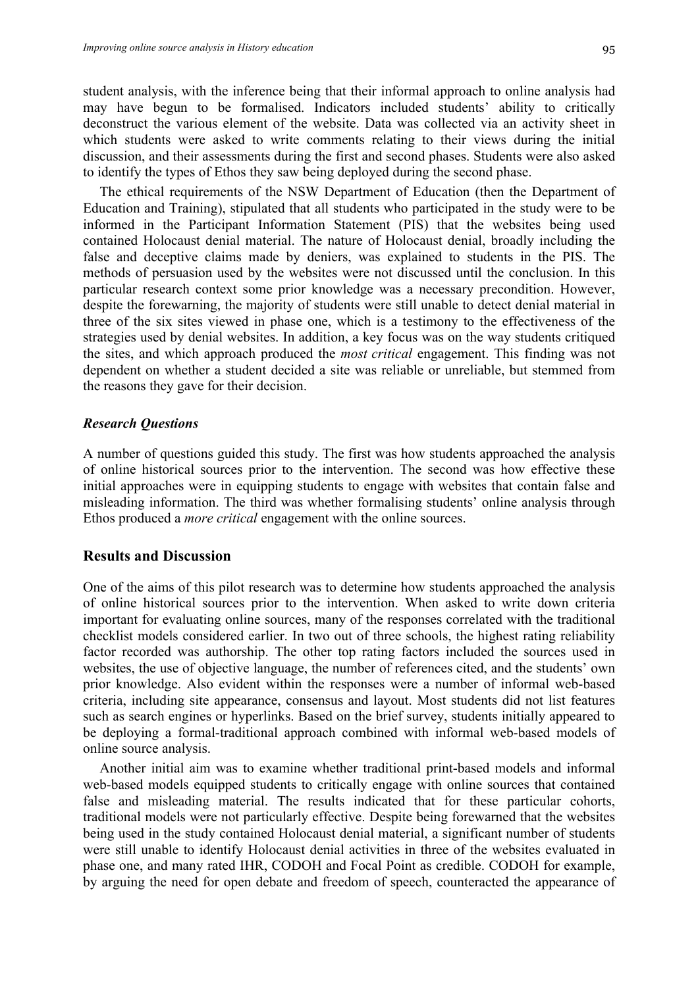student analysis, with the inference being that their informal approach to online analysis had may have begun to be formalised. Indicators included students' ability to critically deconstruct the various element of the website. Data was collected via an activity sheet in which students were asked to write comments relating to their views during the initial discussion, and their assessments during the first and second phases. Students were also asked to identify the types of Ethos they saw being deployed during the second phase.

The ethical requirements of the NSW Department of Education (then the Department of Education and Training), stipulated that all students who participated in the study were to be informed in the Participant Information Statement (PIS) that the websites being used contained Holocaust denial material. The nature of Holocaust denial, broadly including the false and deceptive claims made by deniers, was explained to students in the PIS. The methods of persuasion used by the websites were not discussed until the conclusion. In this particular research context some prior knowledge was a necessary precondition. However, despite the forewarning, the majority of students were still unable to detect denial material in three of the six sites viewed in phase one, which is a testimony to the effectiveness of the strategies used by denial websites. In addition, a key focus was on the way students critiqued the sites, and which approach produced the *most critical* engagement. This finding was not dependent on whether a student decided a site was reliable or unreliable, but stemmed from the reasons they gave for their decision.

#### *Research Questions*

A number of questions guided this study. The first was how students approached the analysis of online historical sources prior to the intervention. The second was how effective these initial approaches were in equipping students to engage with websites that contain false and misleading information. The third was whether formalising students' online analysis through Ethos produced a *more critical* engagement with the online sources.

#### **Results and Discussion**

One of the aims of this pilot research was to determine how students approached the analysis of online historical sources prior to the intervention. When asked to write down criteria important for evaluating online sources, many of the responses correlated with the traditional checklist models considered earlier. In two out of three schools, the highest rating reliability factor recorded was authorship. The other top rating factors included the sources used in websites, the use of objective language, the number of references cited, and the students' own prior knowledge. Also evident within the responses were a number of informal web-based criteria, including site appearance, consensus and layout. Most students did not list features such as search engines or hyperlinks. Based on the brief survey, students initially appeared to be deploying a formal-traditional approach combined with informal web-based models of online source analysis.

Another initial aim was to examine whether traditional print-based models and informal web-based models equipped students to critically engage with online sources that contained false and misleading material. The results indicated that for these particular cohorts, traditional models were not particularly effective. Despite being forewarned that the websites being used in the study contained Holocaust denial material, a significant number of students were still unable to identify Holocaust denial activities in three of the websites evaluated in phase one, and many rated IHR, CODOH and Focal Point as credible. CODOH for example, by arguing the need for open debate and freedom of speech, counteracted the appearance of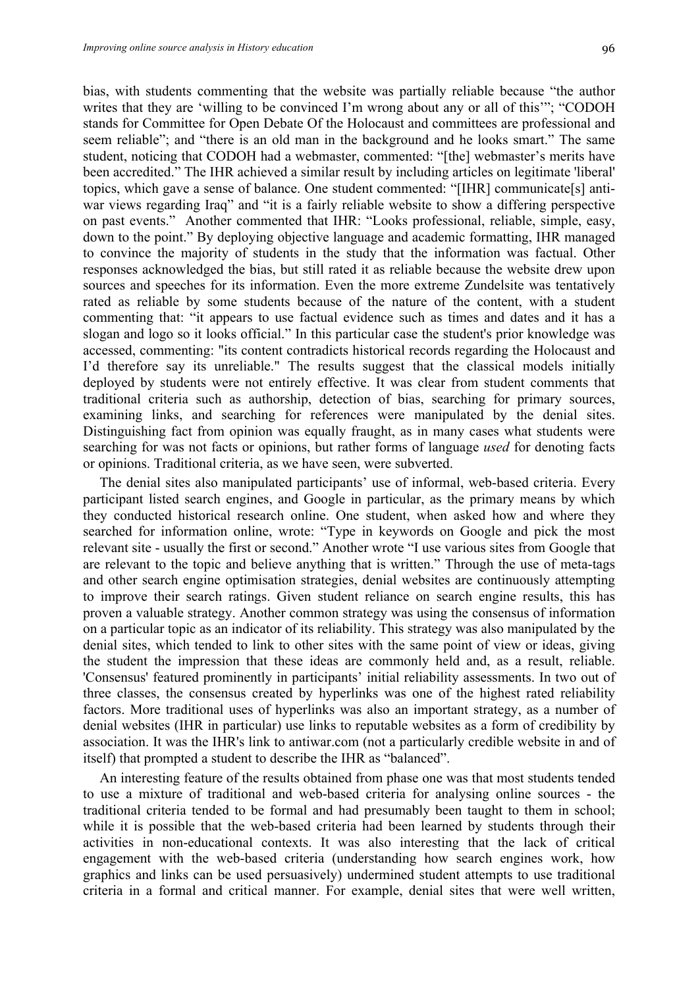bias, with students commenting that the website was partially reliable because "the author writes that they are 'willing to be convinced I'm wrong about any or all of this'"; "CODOH stands for Committee for Open Debate Of the Holocaust and committees are professional and seem reliable"; and "there is an old man in the background and he looks smart." The same student, noticing that CODOH had a webmaster, commented: "[the] webmaster's merits have been accredited." The IHR achieved a similar result by including articles on legitimate 'liberal' topics, which gave a sense of balance. One student commented: "[IHR] communicate[s] antiwar views regarding Iraq" and "it is a fairly reliable website to show a differing perspective on past events." Another commented that IHR: "Looks professional, reliable, simple, easy, down to the point." By deploying objective language and academic formatting, IHR managed to convince the majority of students in the study that the information was factual. Other responses acknowledged the bias, but still rated it as reliable because the website drew upon sources and speeches for its information. Even the more extreme Zundelsite was tentatively rated as reliable by some students because of the nature of the content, with a student commenting that: "it appears to use factual evidence such as times and dates and it has a slogan and logo so it looks official." In this particular case the student's prior knowledge was accessed, commenting: "its content contradicts historical records regarding the Holocaust and I'd therefore say its unreliable." The results suggest that the classical models initially deployed by students were not entirely effective. It was clear from student comments that traditional criteria such as authorship, detection of bias, searching for primary sources, examining links, and searching for references were manipulated by the denial sites. Distinguishing fact from opinion was equally fraught, as in many cases what students were searching for was not facts or opinions, but rather forms of language *used* for denoting facts or opinions. Traditional criteria, as we have seen, were subverted.

The denial sites also manipulated participants' use of informal, web-based criteria. Every participant listed search engines, and Google in particular, as the primary means by which they conducted historical research online. One student, when asked how and where they searched for information online, wrote: "Type in keywords on Google and pick the most relevant site - usually the first or second." Another wrote "I use various sites from Google that are relevant to the topic and believe anything that is written." Through the use of meta-tags and other search engine optimisation strategies, denial websites are continuously attempting to improve their search ratings. Given student reliance on search engine results, this has proven a valuable strategy. Another common strategy was using the consensus of information on a particular topic as an indicator of its reliability. This strategy was also manipulated by the denial sites, which tended to link to other sites with the same point of view or ideas, giving the student the impression that these ideas are commonly held and, as a result, reliable. 'Consensus' featured prominently in participants' initial reliability assessments. In two out of three classes, the consensus created by hyperlinks was one of the highest rated reliability factors. More traditional uses of hyperlinks was also an important strategy, as a number of denial websites (IHR in particular) use links to reputable websites as a form of credibility by association. It was the IHR's link to antiwar.com (not a particularly credible website in and of itself) that prompted a student to describe the IHR as "balanced".

An interesting feature of the results obtained from phase one was that most students tended to use a mixture of traditional and web-based criteria for analysing online sources - the traditional criteria tended to be formal and had presumably been taught to them in school; while it is possible that the web-based criteria had been learned by students through their activities in non-educational contexts. It was also interesting that the lack of critical engagement with the web-based criteria (understanding how search engines work, how graphics and links can be used persuasively) undermined student attempts to use traditional criteria in a formal and critical manner. For example, denial sites that were well written,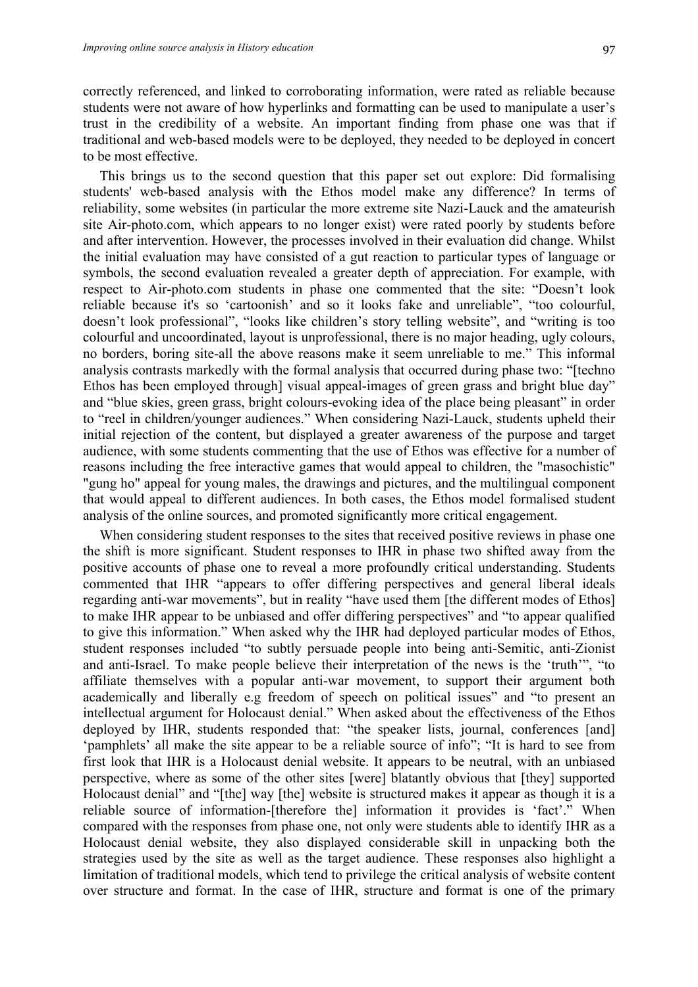correctly referenced, and linked to corroborating information, were rated as reliable because students were not aware of how hyperlinks and formatting can be used to manipulate a user's trust in the credibility of a website. An important finding from phase one was that if traditional and web-based models were to be deployed, they needed to be deployed in concert to be most effective.

This brings us to the second question that this paper set out explore: Did formalising students' web-based analysis with the Ethos model make any difference? In terms of reliability, some websites (in particular the more extreme site Nazi-Lauck and the amateurish site Air-photo.com, which appears to no longer exist) were rated poorly by students before and after intervention. However, the processes involved in their evaluation did change. Whilst the initial evaluation may have consisted of a gut reaction to particular types of language or symbols, the second evaluation revealed a greater depth of appreciation. For example, with respect to Air-photo.com students in phase one commented that the site: "Doesn't look reliable because it's so 'cartoonish' and so it looks fake and unreliable", "too colourful, doesn't look professional", "looks like children's story telling website", and "writing is too colourful and uncoordinated, layout is unprofessional, there is no major heading, ugly colours, no borders, boring site-all the above reasons make it seem unreliable to me." This informal analysis contrasts markedly with the formal analysis that occurred during phase two: "[techno Ethos has been employed through] visual appeal-images of green grass and bright blue day" and "blue skies, green grass, bright colours-evoking idea of the place being pleasant" in order to "reel in children/younger audiences." When considering Nazi-Lauck, students upheld their initial rejection of the content, but displayed a greater awareness of the purpose and target audience, with some students commenting that the use of Ethos was effective for a number of reasons including the free interactive games that would appeal to children, the "masochistic" "gung ho" appeal for young males, the drawings and pictures, and the multilingual component that would appeal to different audiences. In both cases, the Ethos model formalised student analysis of the online sources, and promoted significantly more critical engagement.

When considering student responses to the sites that received positive reviews in phase one the shift is more significant. Student responses to IHR in phase two shifted away from the positive accounts of phase one to reveal a more profoundly critical understanding. Students commented that IHR "appears to offer differing perspectives and general liberal ideals regarding anti-war movements", but in reality "have used them [the different modes of Ethos] to make IHR appear to be unbiased and offer differing perspectives" and "to appear qualified to give this information." When asked why the IHR had deployed particular modes of Ethos, student responses included "to subtly persuade people into being anti-Semitic, anti-Zionist and anti-Israel. To make people believe their interpretation of the news is the 'truth'", "to affiliate themselves with a popular anti-war movement, to support their argument both academically and liberally e.g freedom of speech on political issues" and "to present an intellectual argument for Holocaust denial." When asked about the effectiveness of the Ethos deployed by IHR, students responded that: "the speaker lists, journal, conferences [and] 'pamphlets' all make the site appear to be a reliable source of info"; "It is hard to see from first look that IHR is a Holocaust denial website. It appears to be neutral, with an unbiased perspective, where as some of the other sites [were] blatantly obvious that [they] supported Holocaust denial" and "[the] way [the] website is structured makes it appear as though it is a reliable source of information-[therefore the] information it provides is 'fact'." When compared with the responses from phase one, not only were students able to identify IHR as a Holocaust denial website, they also displayed considerable skill in unpacking both the strategies used by the site as well as the target audience. These responses also highlight a limitation of traditional models, which tend to privilege the critical analysis of website content over structure and format. In the case of IHR, structure and format is one of the primary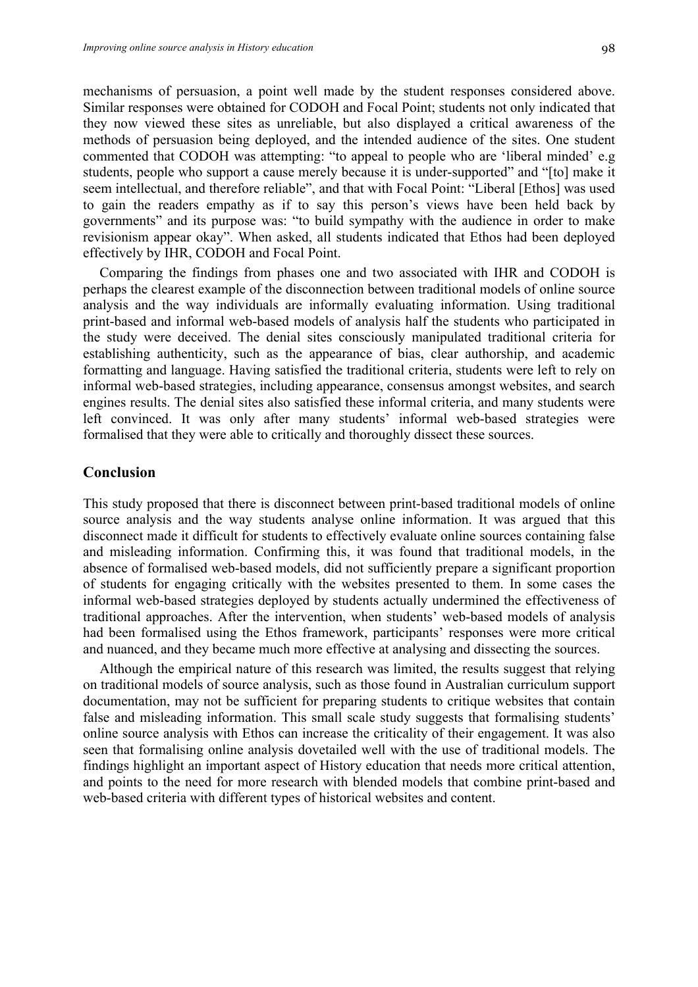mechanisms of persuasion, a point well made by the student responses considered above. Similar responses were obtained for CODOH and Focal Point; students not only indicated that they now viewed these sites as unreliable, but also displayed a critical awareness of the methods of persuasion being deployed, and the intended audience of the sites. One student commented that CODOH was attempting: "to appeal to people who are 'liberal minded' e.g students, people who support a cause merely because it is under-supported" and "[to] make it seem intellectual, and therefore reliable", and that with Focal Point: "Liberal [Ethos] was used to gain the readers empathy as if to say this person's views have been held back by governments" and its purpose was: "to build sympathy with the audience in order to make revisionism appear okay". When asked, all students indicated that Ethos had been deployed effectively by IHR, CODOH and Focal Point.

Comparing the findings from phases one and two associated with IHR and CODOH is perhaps the clearest example of the disconnection between traditional models of online source analysis and the way individuals are informally evaluating information. Using traditional print-based and informal web-based models of analysis half the students who participated in the study were deceived. The denial sites consciously manipulated traditional criteria for establishing authenticity, such as the appearance of bias, clear authorship, and academic formatting and language. Having satisfied the traditional criteria, students were left to rely on informal web-based strategies, including appearance, consensus amongst websites, and search engines results. The denial sites also satisfied these informal criteria, and many students were left convinced. It was only after many students' informal web-based strategies were formalised that they were able to critically and thoroughly dissect these sources.

#### **Conclusion**

This study proposed that there is disconnect between print-based traditional models of online source analysis and the way students analyse online information. It was argued that this disconnect made it difficult for students to effectively evaluate online sources containing false and misleading information. Confirming this, it was found that traditional models, in the absence of formalised web-based models, did not sufficiently prepare a significant proportion of students for engaging critically with the websites presented to them. In some cases the informal web-based strategies deployed by students actually undermined the effectiveness of traditional approaches. After the intervention, when students' web-based models of analysis had been formalised using the Ethos framework, participants' responses were more critical and nuanced, and they became much more effective at analysing and dissecting the sources.

Although the empirical nature of this research was limited, the results suggest that relying on traditional models of source analysis, such as those found in Australian curriculum support documentation, may not be sufficient for preparing students to critique websites that contain false and misleading information. This small scale study suggests that formalising students' online source analysis with Ethos can increase the criticality of their engagement. It was also seen that formalising online analysis dovetailed well with the use of traditional models. The findings highlight an important aspect of History education that needs more critical attention, and points to the need for more research with blended models that combine print-based and web-based criteria with different types of historical websites and content.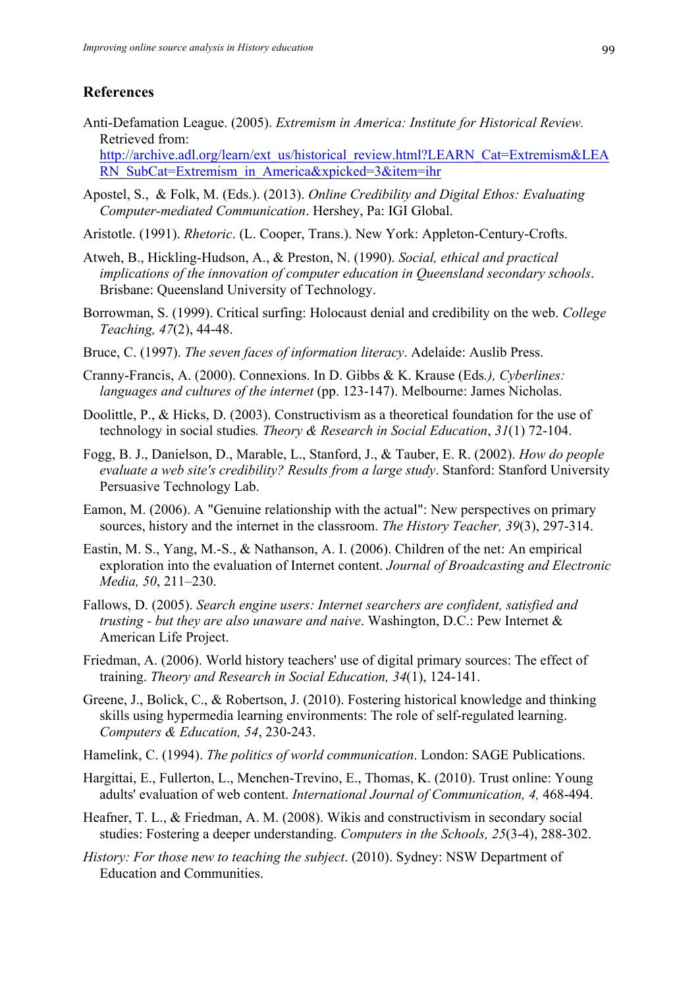## **References**

- Anti-Defamation League. (2005). *Extremism in America: Institute for Historical Review.*  Retrieved from: http://archive.adl.org/learn/ext\_us/historical\_review.html?LEARN\_Cat=Extremism&LEA RN\_SubCat=Extremism\_in\_America&xpicked=3&item=ihr
- Apostel, S., & Folk, M. (Eds.). (2013). *Online Credibility and Digital Ethos: Evaluating Computer-mediated Communication*. Hershey, Pa: IGI Global.
- Aristotle. (1991). *Rhetoric*. (L. Cooper, Trans.). New York: Appleton-Century-Crofts.
- Atweh, B., Hickling-Hudson, A., & Preston, N. (1990). *Social, ethical and practical implications of the innovation of computer education in Queensland secondary schools*. Brisbane: Queensland University of Technology.
- Borrowman, S. (1999). Critical surfing: Holocaust denial and credibility on the web. *College Teaching, 47*(2), 44-48.
- Bruce, C. (1997). *The seven faces of information literacy*. Adelaide: Auslib Press.
- Cranny-Francis, A. (2000). Connexions. In D. Gibbs & K. Krause (Eds*.), Cyberlines: languages and cultures of the internet* (pp. 123-147). Melbourne: James Nicholas.
- Doolittle, P., & Hicks, D. (2003). Constructivism as a theoretical foundation for the use of technology in social studies*. Theory & Research in Social Education*, *31*(1) 72-104.
- Fogg, B. J., Danielson, D., Marable, L., Stanford, J., & Tauber, E. R. (2002). *How do people evaluate a web site's credibility? Results from a large study*. Stanford: Stanford University Persuasive Technology Lab.
- Eamon, M. (2006). A "Genuine relationship with the actual": New perspectives on primary sources, history and the internet in the classroom. *The History Teacher, 39*(3), 297-314.
- Eastin, M. S., Yang, M.-S., & Nathanson, A. I. (2006). Children of the net: An empirical exploration into the evaluation of Internet content. *Journal of Broadcasting and Electronic Media, 50*, 211–230.
- Fallows, D. (2005). *Search engine users: Internet searchers are confident, satisfied and trusting - but they are also unaware and naive*. Washington, D.C.: Pew Internet & American Life Project.
- Friedman, A. (2006). World history teachers' use of digital primary sources: The effect of training. *Theory and Research in Social Education, 34*(1), 124-141.
- Greene, J., Bolick, C., & Robertson, J. (2010). Fostering historical knowledge and thinking skills using hypermedia learning environments: The role of self-regulated learning. *Computers & Education, 54*, 230-243.
- Hamelink, C. (1994). *The politics of world communication*. London: SAGE Publications.
- Hargittai, E., Fullerton, L., Menchen-Trevino, E., Thomas, K. (2010). Trust online: Young adults' evaluation of web content. *International Journal of Communication, 4,* 468-494.
- Heafner, T. L., & Friedman, A. M. (2008). Wikis and constructivism in secondary social studies: Fostering a deeper understanding. *Computers in the Schools, 25*(3-4), 288-302.
- *History: For those new to teaching the subject*. (2010). Sydney: NSW Department of Education and Communities.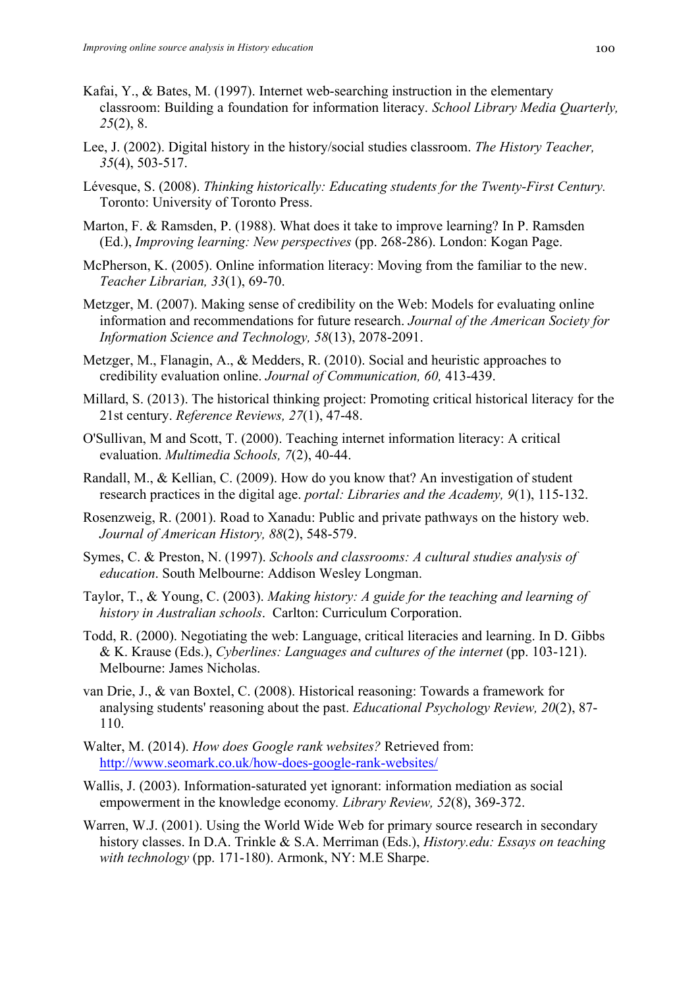- Kafai, Y., & Bates, M. (1997). Internet web-searching instruction in the elementary classroom: Building a foundation for information literacy. *School Library Media Quarterly, 25*(2), 8.
- Lee, J. (2002). Digital history in the history/social studies classroom. *The History Teacher, 35*(4), 503-517.
- Lévesque, S. (2008). *Thinking historically: Educating students for the Twenty-First Century.* Toronto: University of Toronto Press.
- Marton, F. & Ramsden, P. (1988). What does it take to improve learning? In P. Ramsden (Ed.), *Improving learning: New perspectives* (pp. 268-286). London: Kogan Page.
- McPherson, K. (2005). Online information literacy: Moving from the familiar to the new. *Teacher Librarian, 33*(1), 69-70.
- Metzger, M. (2007). Making sense of credibility on the Web: Models for evaluating online information and recommendations for future research. *Journal of the American Society for Information Science and Technology, 58*(13), 2078-2091.
- Metzger, M., Flanagin, A., & Medders, R. (2010). Social and heuristic approaches to credibility evaluation online. *Journal of Communication, 60,* 413-439.
- Millard, S. (2013). The historical thinking project: Promoting critical historical literacy for the 21st century. *Reference Reviews, 27*(1), 47-48.
- O'Sullivan, M and Scott, T. (2000). Teaching internet information literacy: A critical evaluation. *Multimedia Schools, 7*(2), 40-44.
- Randall, M., & Kellian, C. (2009). How do you know that? An investigation of student research practices in the digital age. *portal: Libraries and the Academy, 9*(1), 115-132.
- Rosenzweig, R. (2001). Road to Xanadu: Public and private pathways on the history web. *Journal of American History, 88*(2), 548-579.
- Symes, C. & Preston, N. (1997). *Schools and classrooms: A cultural studies analysis of education*. South Melbourne: Addison Wesley Longman.
- Taylor, T., & Young, C. (2003). *Making history: A guide for the teaching and learning of history in Australian schools*. Carlton: Curriculum Corporation.
- Todd, R. (2000). Negotiating the web: Language, critical literacies and learning. In D. Gibbs & K. Krause (Eds.), *Cyberlines: Languages and cultures of the internet* (pp. 103-121). Melbourne: James Nicholas.
- van Drie, J., & van Boxtel, C. (2008). Historical reasoning: Towards a framework for analysing students' reasoning about the past. *Educational Psychology Review, 20*(2), 87- 110.
- Walter, M. (2014). *How does Google rank websites?* Retrieved from: http://www.seomark.co.uk/how-does-google-rank-websites/
- Wallis, J. (2003). Information-saturated yet ignorant: information mediation as social empowerment in the knowledge economy*. Library Review, 52*(8), 369-372.
- Warren, W.J. (2001). Using the World Wide Web for primary source research in secondary history classes. In D.A. Trinkle & S.A. Merriman (Eds.), *History.edu: Essays on teaching with technology* (pp. 171-180). Armonk, NY: M.E Sharpe.